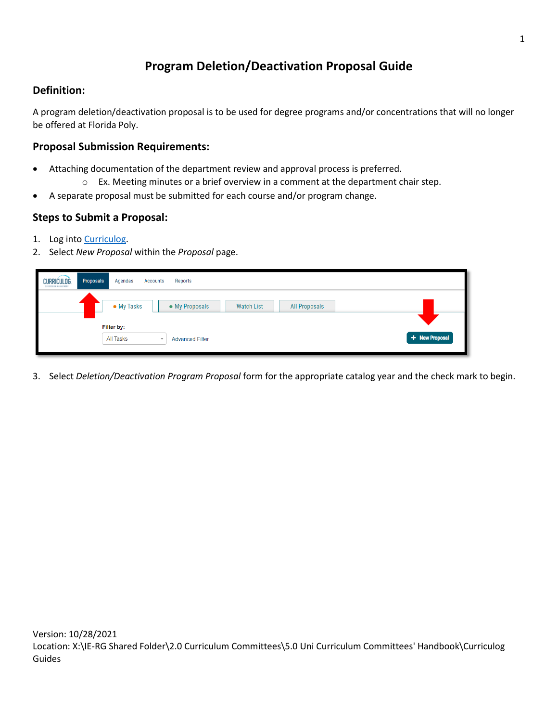## **Program Deletion/Deactivation Proposal Guide**

## **Definition:**

A program deletion/deactivation proposal is to be used for degree programs and/or concentrations that will no longer be offered at Florida Poly.

## **Proposal Submission Requirements:**

- Attaching documentation of the department review and approval process is preferred.
	- $\circ$  Ex. Meeting minutes or a brief overview in a comment at the department chair step.
- A separate proposal must be submitted for each course and/or program change.

## **Steps to Submit a Proposal:**

- 1. Log into [Curriculog.](https://floridapolytechnic.curriculog.com/)
- 2. Select *New Proposal* within the *Proposal* page.

| <b>CURRICULOG</b><br>CORRICOLUM MANAGEMENT | Proposals<br>Agendas<br><b>Accounts</b>     | Reports                                              |                |
|--------------------------------------------|---------------------------------------------|------------------------------------------------------|----------------|
|                                            | • My Tasks                                  | <b>Watch List</b><br>• My Proposals<br>All Proposals |                |
|                                            | Filter by:                                  |                                                      |                |
|                                            | <b>All Tasks</b><br>$\overline{\mathbf{v}}$ | <b>Advanced Filter</b>                               | + New Proposal |

3. Select *Deletion/Deactivation Program Proposal* form for the appropriate catalog year and the check mark to begin.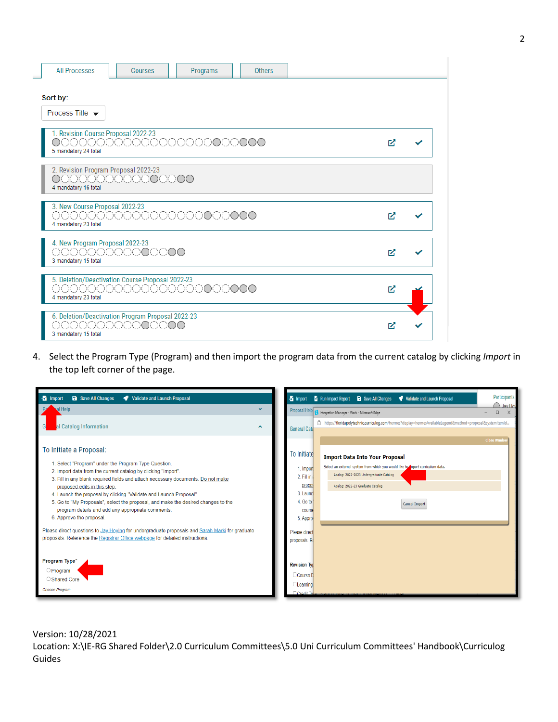| <b>All Processes</b>                                        | Courses                                                                     | Programs | <b>Others</b> |  |     |  |
|-------------------------------------------------------------|-----------------------------------------------------------------------------|----------|---------------|--|-----|--|
| Sort by:<br>Process Title $\rightarrow$                     |                                                                             |          |               |  |     |  |
| 1. Revision Course Proposal 2022-23<br>5 mandatory 24 total | 000000000000000000000000                                                    |          |               |  | ΓZ. |  |
| 4 mandatory 16 total                                        | 2. Revision Program Proposal 2022-23<br>000000000000000                     |          |               |  |     |  |
| 3. New Course Proposal 2022-23<br>4 mandatory 23 total      | 00000000000000000000000                                                     |          |               |  | ſZ. |  |
| 4. New Program Proposal 2022-23<br>3 mandatory 15 total     | 00000000000000                                                              |          |               |  | ſZ. |  |
| 4 mandatory 23 total                                        | 5. Deletion/Deactivation Course Proposal 2022-23<br>00000000000000000000000 |          |               |  | M   |  |
| 3 mandatory 15 total                                        | 6. Deletion/Deactivation Program Proposal 2022-23<br>00000000000000         |          |               |  | EZ. |  |

4. Select the Program Type (Program) and then import the program data from the current catalog by clicking *Import* in the top left corner of the page.

| <b>B</b> Save All Changes                                                                                                                                                         | <b>Participants</b>                                                                                                                                                                                                      |
|-----------------------------------------------------------------------------------------------------------------------------------------------------------------------------------|--------------------------------------------------------------------------------------------------------------------------------------------------------------------------------------------------------------------------|
| Validate and Launch Proposal                                                                                                                                                      | <b>E</b> Run Impact Report <b>B</b> Save All Changes <b>C</b> Validate and Launch Proposal                                                                                                                               |
| $\frac{1}{2}$ import                                                                                                                                                              | $\frac{1}{2}$ import                                                                                                                                                                                                     |
| al Help<br>$\checkmark$                                                                                                                                                           | $\bigcap$ Jay Hoy<br>Proposal Help <b>D</b> Integration Manager - Work - Microsoft Edge<br>0<br>$\times$<br>chttps://floridapolytechnic.curriculog.com/hermes?display=hermesAvailableLegend&method=proposal&systemItemId |
| G<br>al Catalog Information<br>$\hat{\phantom{a}}$                                                                                                                                | <b>General Cata</b><br><b>Close Windo</b>                                                                                                                                                                                |
| To Initiate a Proposal:<br>1. Select "Program" under the Program Type Question.                                                                                                   | To Initiate<br><b>Import Data Into Your Proposal</b><br>Select an external system from which you would like to inport curriculum data.<br>1. Import                                                                      |
| 2. Import data from the current catalog by clicking "Import".<br>3. Fill in any blank required fields and attach necessary documents. Do not make<br>proposed edits in this step. | Acalog: 2022-2023 Undergraduate Catalog<br>2. Fill in<br>propos<br>Acalog: 2022-23 Graduate Catalog<br>3. Launc                                                                                                          |
| 4. Launch the proposal by clicking "Validate and Launch Proposal".                                                                                                                | 4. Go to                                                                                                                                                                                                                 |
| 5. Go to "My Proposals", select the proposal, and make the desired changes to the                                                                                                 | <b>Cancel Import</b>                                                                                                                                                                                                     |
| program details and add any appropriate comments.                                                                                                                                 | course                                                                                                                                                                                                                   |
| 6. Approve the proposal.                                                                                                                                                          | 5. Appro                                                                                                                                                                                                                 |
| Please direct questions to Jay Hoying for undergraduate proposals and Sarah Marki for graduate                                                                                    | Please direct                                                                                                                                                                                                            |
| proposals. Reference the Registrar Office webpage for detailed instructions.                                                                                                      | proposals. Re                                                                                                                                                                                                            |
| Program Type*                                                                                                                                                                     | <b>Revision Tvr</b>                                                                                                                                                                                                      |
| <b>Program</b>                                                                                                                                                                    | Course D                                                                                                                                                                                                                 |
| ○ Shared Core                                                                                                                                                                     | $\Box$ Learning                                                                                                                                                                                                          |
| Choose Program                                                                                                                                                                    | Credit Tobar communitying or unsur-                                                                                                                                                                                      |

Version: 10/28/2021

Location: X:\IE-RG Shared Folder\2.0 Curriculum Committees\5.0 Uni Curriculum Committees' Handbook\Curriculog Guides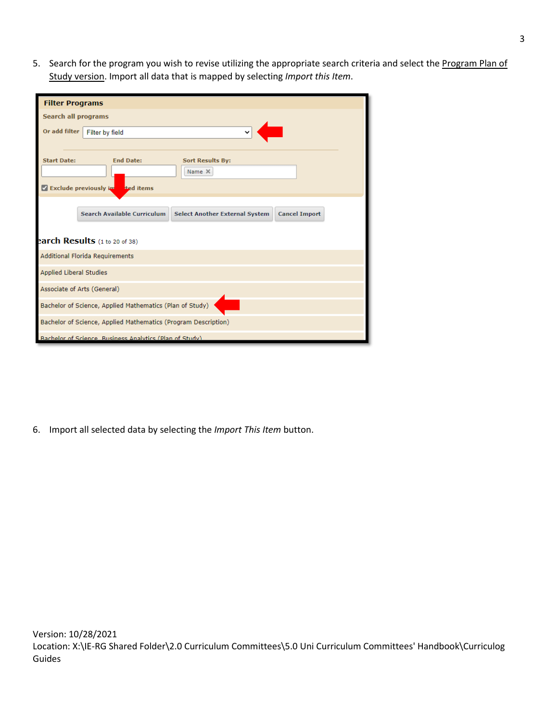5. Search for the program you wish to revise utilizing the appropriate search criteria and select the Program Plan of Study version. Import all data that is mapped by selecting *Import this Item*.

| <b>Filter Programs</b>                                         |                                                                                                     |  |  |  |
|----------------------------------------------------------------|-----------------------------------------------------------------------------------------------------|--|--|--|
| <b>Search all programs</b>                                     |                                                                                                     |  |  |  |
| Or add filter                                                  | $\checkmark$<br>Filter by field                                                                     |  |  |  |
|                                                                |                                                                                                     |  |  |  |
| <b>Start Date:</b>                                             | <b>End Date:</b><br><b>Sort Results By:</b>                                                         |  |  |  |
|                                                                | Name X                                                                                              |  |  |  |
|                                                                | Exclude previously in the ted items                                                                 |  |  |  |
|                                                                |                                                                                                     |  |  |  |
|                                                                | <b>Search Available Curriculum</b><br><b>Select Another External System</b><br><b>Cancel Import</b> |  |  |  |
|                                                                | earch Results (1 to 20 of 38)                                                                       |  |  |  |
|                                                                | Additional Florida Requirements                                                                     |  |  |  |
|                                                                | <b>Applied Liberal Studies</b>                                                                      |  |  |  |
| Associate of Arts (General)                                    |                                                                                                     |  |  |  |
| Bachelor of Science, Applied Mathematics (Plan of Study)       |                                                                                                     |  |  |  |
| Bachelor of Science, Applied Mathematics (Program Description) |                                                                                                     |  |  |  |
| <b>Bachelor of Science Business Analytics (Plan of Study)</b>  |                                                                                                     |  |  |  |

6. Import all selected data by selecting the *Import This Item* button.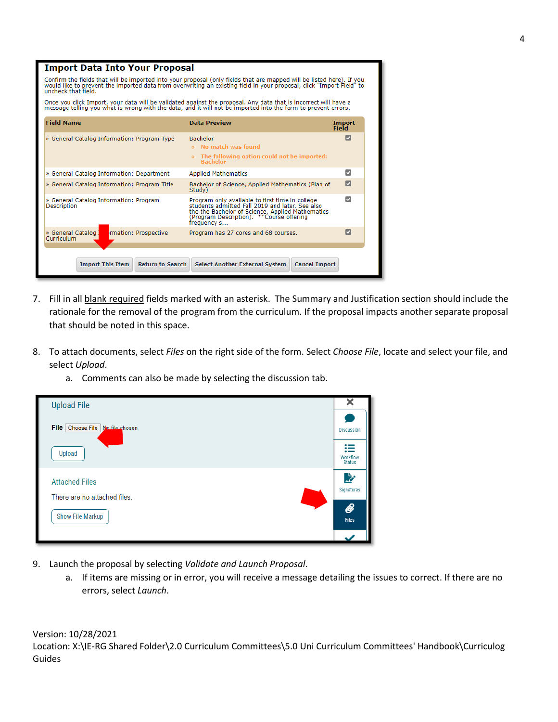| <b>Import Data Into Your Proposal</b>                                                                                                                                                                                                                                |                                                                                                                                                                                                                   |                        |  |  |  |
|----------------------------------------------------------------------------------------------------------------------------------------------------------------------------------------------------------------------------------------------------------------------|-------------------------------------------------------------------------------------------------------------------------------------------------------------------------------------------------------------------|------------------------|--|--|--|
| Confirm the fields that will be imported into your proposal (only fields that are mapped will be listed here). If you<br>would like to prevent the imported data from overwriting an existing field in your proposal, click "Import Field" to<br>uncheck that field. |                                                                                                                                                                                                                   |                        |  |  |  |
| Once you click Import, your data will be validated against the proposal. Any data that is incorrect will have a<br>message telling you what is wrong with the data, and it will not be imported into the form to prevent errors.                                     |                                                                                                                                                                                                                   |                        |  |  |  |
| <b>Field Name</b>                                                                                                                                                                                                                                                    | <b>Data Preview</b>                                                                                                                                                                                               | <b>Import</b><br>Field |  |  |  |
| » General Catalog Information: Program Type                                                                                                                                                                                                                          | <b>Bachelor</b><br>No match was found<br>The following option could not be imported:<br>$\circ$<br><b>Bachelor</b>                                                                                                | V                      |  |  |  |
| » General Catalog Information: Department                                                                                                                                                                                                                            | <b>Applied Mathematics</b>                                                                                                                                                                                        | ⊽                      |  |  |  |
| » General Catalog Information: Program Title                                                                                                                                                                                                                         | Bachelor of Science, Applied Mathematics (Plan of<br>Study)                                                                                                                                                       | M                      |  |  |  |
| » General Catalog Information: Program<br>Description                                                                                                                                                                                                                | Program only available to first time in college<br>students admitted Fall 2019 and later. See also<br>the the Bachelor of Science, Applied Mathematics<br>(Program Description). **Course offering<br>frequency s | м                      |  |  |  |
| » General Catalog<br>rmation: Prospective<br>Curriculum                                                                                                                                                                                                              | Program has 27 cores and 68 courses.                                                                                                                                                                              | V                      |  |  |  |
|                                                                                                                                                                                                                                                                      |                                                                                                                                                                                                                   |                        |  |  |  |
| <b>Import This Item</b><br><b>Return to Search</b>                                                                                                                                                                                                                   | <b>Select Another External System</b><br><b>Cancel Import</b>                                                                                                                                                     |                        |  |  |  |

- 7. Fill in all blank required fields marked with an asterisk. The Summary and Justification section should include the rationale for the removal of the program from the curriculum. If the proposal impacts another separate proposal that should be noted in this space.
- 8. To attach documents, select *Files* on the right side of the form. Select *Choose File*, locate and select your file, and select *Upload*.
	- a. Comments can also be made by selecting the discussion tab.

| <b>Upload File</b>                               | x                              |
|--------------------------------------------------|--------------------------------|
| File   Choose File   No file chosen              | <b>Discussion</b>              |
| Upload                                           | 這<br>Workflow<br><b>Status</b> |
| <b>Attached Files</b>                            | 兦<br>Signatures                |
| There are no attached files.<br>Show File Markup | O.<br><b>Files</b>             |
|                                                  |                                |

- 9. Launch the proposal by selecting *Validate and Launch Proposal*.
	- a. If items are missing or in error, you will receive a message detailing the issues to correct. If there are no errors, select *Launch*.

Version: 10/28/2021 Location: X:\IE-RG Shared Folder\2.0 Curriculum Committees\5.0 Uni Curriculum Committees' Handbook\Curriculog Guides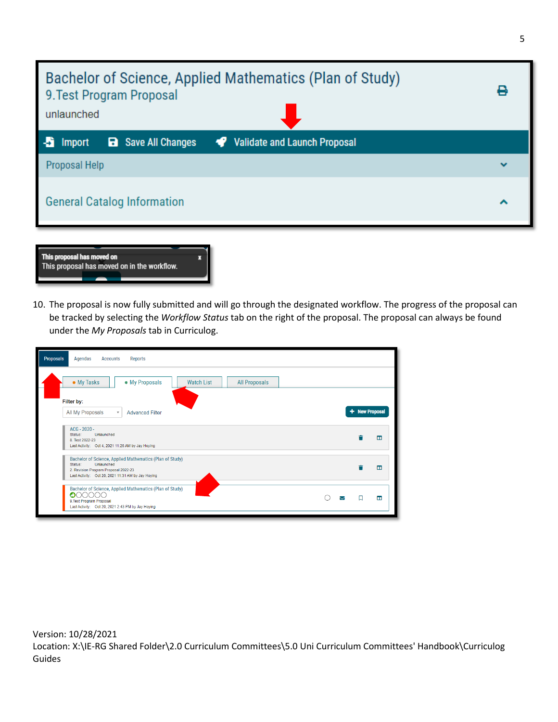| Bachelor of Science, Applied Mathematics (Plan of Study)<br>9. Test Program Proposal<br>unlaunched |   |
|----------------------------------------------------------------------------------------------------|---|
| Validate and Launch Proposal<br><b>a</b> Save All Changes<br><b>Import</b>                         |   |
| Proposal Help                                                                                      | v |
| <b>General Catalog Information</b>                                                                 | 灬 |
|                                                                                                    |   |



10. The proposal is now fully submitted and will go through the designated workflow. The progress of the proposal can be tracked by selecting the *Workflow Status* tab on the right of the proposal. The proposal can always be found under the *My Proposals* tab in Curriculog.

| Proposals<br>Agendas<br>Accounts<br>Reports                                                                                                                                     |   |                |   |
|---------------------------------------------------------------------------------------------------------------------------------------------------------------------------------|---|----------------|---|
| • My Tasks<br>• My Proposals<br><b>All Proposals</b><br><b>Watch List</b>                                                                                                       |   |                |   |
| Filter by:                                                                                                                                                                      |   |                |   |
| All My Proposals<br><b>Advanced Filter</b><br>$\overline{\mathbf{v}}$                                                                                                           |   | + New Proposal |   |
| ACG - 2020 -<br>Unlaunched<br>Status:<br>8. Test 2022-23<br>Last Activity: Oct 4, 2021 11:26 AM by Jay Hoying                                                                   |   |                | ш |
| Bachelor of Science, Applied Mathematics (Plan of Study)<br>Status:<br>Unlaunched<br>2. Revision Program Proposal 2022-23<br>Last Activity: Oct 20, 2021 11:31 AM by Jay Hoying |   |                | m |
| Bachelor of Science, Applied Mathematics (Plan of Study)<br>$\mathbf{O}$<br>9. Test Program Proposal<br>Last Activity: Oct 20, 2021 2:43 PM by Jay Hoying                       | М | ↳              | m |

Version: 10/28/2021 Location: X:\IE-RG Shared Folder\2.0 Curriculum Committees\5.0 Uni Curriculum Committees' Handbook\Curriculog Guides